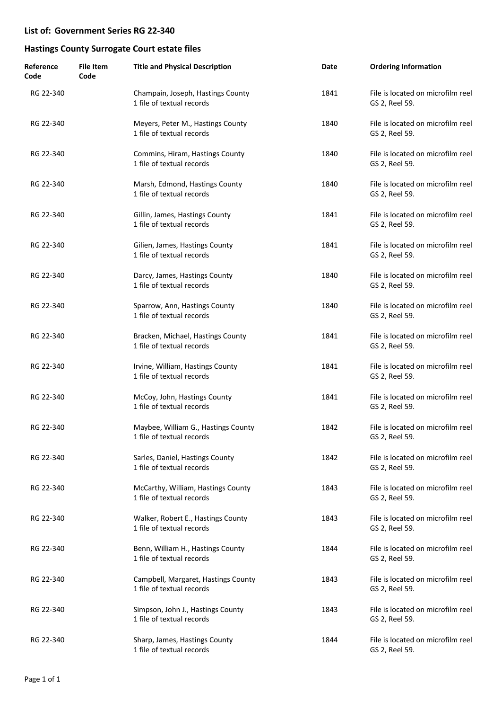| Reference<br>Code | <b>File Item</b><br>Code | <b>Title and Physical Description</b>                            | Date | <b>Ordering Information</b>                         |
|-------------------|--------------------------|------------------------------------------------------------------|------|-----------------------------------------------------|
| RG 22-340         |                          | Champain, Joseph, Hastings County<br>1 file of textual records   | 1841 | File is located on microfilm reel<br>GS 2, Reel 59. |
| RG 22-340         |                          | Meyers, Peter M., Hastings County<br>1 file of textual records   | 1840 | File is located on microfilm reel<br>GS 2, Reel 59. |
| RG 22-340         |                          | Commins, Hiram, Hastings County<br>1 file of textual records     | 1840 | File is located on microfilm reel<br>GS 2, Reel 59. |
| RG 22-340         |                          | Marsh, Edmond, Hastings County<br>1 file of textual records      | 1840 | File is located on microfilm reel<br>GS 2, Reel 59. |
| RG 22-340         |                          | Gillin, James, Hastings County<br>1 file of textual records      | 1841 | File is located on microfilm reel<br>GS 2, Reel 59. |
| RG 22-340         |                          | Gilien, James, Hastings County<br>1 file of textual records      | 1841 | File is located on microfilm reel<br>GS 2, Reel 59. |
| RG 22-340         |                          | Darcy, James, Hastings County<br>1 file of textual records       | 1840 | File is located on microfilm reel<br>GS 2, Reel 59. |
| RG 22-340         |                          | Sparrow, Ann, Hastings County<br>1 file of textual records       | 1840 | File is located on microfilm reel<br>GS 2, Reel 59. |
| RG 22-340         |                          | Bracken, Michael, Hastings County<br>1 file of textual records   | 1841 | File is located on microfilm reel<br>GS 2, Reel 59. |
| RG 22-340         |                          | Irvine, William, Hastings County<br>1 file of textual records    | 1841 | File is located on microfilm reel<br>GS 2, Reel 59. |
| RG 22-340         |                          | McCoy, John, Hastings County<br>1 file of textual records        | 1841 | File is located on microfilm reel<br>GS 2, Reel 59. |
| RG 22-340         |                          | Maybee, William G., Hastings County<br>1 file of textual records | 1842 | File is located on microfilm reel<br>GS 2, Reel 59. |
| RG 22-340         |                          | Sarles, Daniel, Hastings County<br>1 file of textual records     | 1842 | File is located on microfilm reel<br>GS 2, Reel 59. |
| RG 22-340         |                          | McCarthy, William, Hastings County<br>1 file of textual records  | 1843 | File is located on microfilm reel<br>GS 2, Reel 59. |
| RG 22-340         |                          | Walker, Robert E., Hastings County<br>1 file of textual records  | 1843 | File is located on microfilm reel<br>GS 2, Reel 59. |
| RG 22-340         |                          | Benn, William H., Hastings County<br>1 file of textual records   | 1844 | File is located on microfilm reel<br>GS 2, Reel 59. |
| RG 22-340         |                          | Campbell, Margaret, Hastings County<br>1 file of textual records | 1843 | File is located on microfilm reel<br>GS 2, Reel 59. |
| RG 22-340         |                          | Simpson, John J., Hastings County<br>1 file of textual records   | 1843 | File is located on microfilm reel<br>GS 2, Reel 59. |
| RG 22-340         |                          | Sharp, James, Hastings County<br>1 file of textual records       | 1844 | File is located on microfilm reel<br>GS 2, Reel 59. |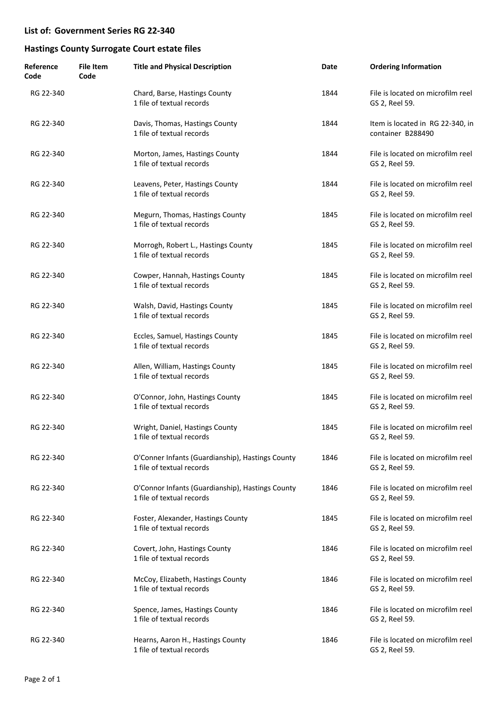| Reference<br>Code | <b>File Item</b><br>Code | <b>Title and Physical Description</b>                                         | Date | <b>Ordering Information</b>                           |
|-------------------|--------------------------|-------------------------------------------------------------------------------|------|-------------------------------------------------------|
| RG 22-340         |                          | Chard, Barse, Hastings County<br>1 file of textual records                    | 1844 | File is located on microfilm reel<br>GS 2, Reel 59.   |
| RG 22-340         |                          | Davis, Thomas, Hastings County<br>1 file of textual records                   | 1844 | Item is located in RG 22-340, in<br>container B288490 |
| RG 22-340         |                          | Morton, James, Hastings County<br>1 file of textual records                   | 1844 | File is located on microfilm reel<br>GS 2, Reel 59.   |
| RG 22-340         |                          | Leavens, Peter, Hastings County<br>1 file of textual records                  | 1844 | File is located on microfilm reel<br>GS 2, Reel 59.   |
| RG 22-340         |                          | Megurn, Thomas, Hastings County<br>1 file of textual records                  | 1845 | File is located on microfilm reel<br>GS 2, Reel 59.   |
| RG 22-340         |                          | Morrogh, Robert L., Hastings County<br>1 file of textual records              | 1845 | File is located on microfilm reel<br>GS 2, Reel 59.   |
| RG 22-340         |                          | Cowper, Hannah, Hastings County<br>1 file of textual records                  | 1845 | File is located on microfilm reel<br>GS 2, Reel 59.   |
| RG 22-340         |                          | Walsh, David, Hastings County<br>1 file of textual records                    | 1845 | File is located on microfilm reel<br>GS 2, Reel 59.   |
| RG 22-340         |                          | Eccles, Samuel, Hastings County<br>1 file of textual records                  | 1845 | File is located on microfilm reel<br>GS 2, Reel 59.   |
| RG 22-340         |                          | Allen, William, Hastings County<br>1 file of textual records                  | 1845 | File is located on microfilm reel<br>GS 2, Reel 59.   |
| RG 22-340         |                          | O'Connor, John, Hastings County<br>1 file of textual records                  | 1845 | File is located on microfilm reel<br>GS 2, Reel 59.   |
| RG 22-340         |                          | Wright, Daniel, Hastings County<br>1 file of textual records                  | 1845 | File is located on microfilm reel<br>GS 2, Reel 59.   |
| RG 22-340         |                          | O'Conner Infants (Guardianship), Hastings County<br>1 file of textual records | 1846 | File is located on microfilm reel<br>GS 2, Reel 59.   |
| RG 22-340         |                          | O'Connor Infants (Guardianship), Hastings County<br>1 file of textual records | 1846 | File is located on microfilm reel<br>GS 2, Reel 59.   |
| RG 22-340         |                          | Foster, Alexander, Hastings County<br>1 file of textual records               | 1845 | File is located on microfilm reel<br>GS 2, Reel 59.   |
| RG 22-340         |                          | Covert, John, Hastings County<br>1 file of textual records                    | 1846 | File is located on microfilm reel<br>GS 2, Reel 59.   |
| RG 22-340         |                          | McCoy, Elizabeth, Hastings County<br>1 file of textual records                | 1846 | File is located on microfilm reel<br>GS 2, Reel 59.   |
| RG 22-340         |                          | Spence, James, Hastings County<br>1 file of textual records                   | 1846 | File is located on microfilm reel<br>GS 2, Reel 59.   |
| RG 22-340         |                          | Hearns, Aaron H., Hastings County<br>1 file of textual records                | 1846 | File is located on microfilm reel<br>GS 2, Reel 59.   |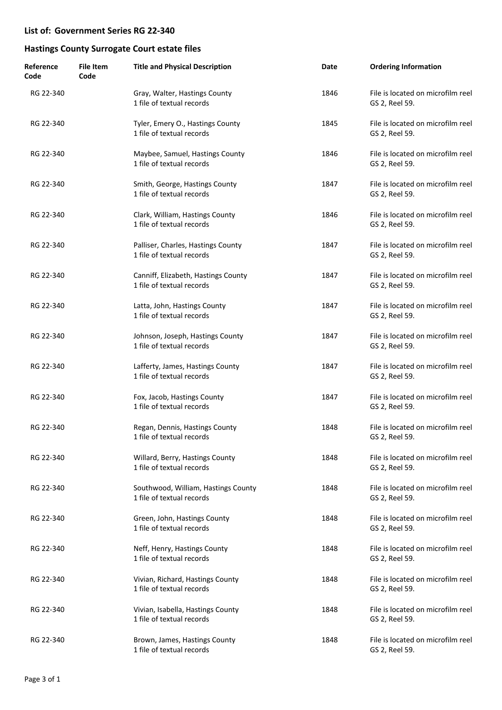| Reference<br>Code | <b>File Item</b><br>Code | <b>Title and Physical Description</b>                            | Date | <b>Ordering Information</b>                         |
|-------------------|--------------------------|------------------------------------------------------------------|------|-----------------------------------------------------|
| RG 22-340         |                          | Gray, Walter, Hastings County<br>1 file of textual records       | 1846 | File is located on microfilm reel<br>GS 2, Reel 59. |
| RG 22-340         |                          | Tyler, Emery O., Hastings County<br>1 file of textual records    | 1845 | File is located on microfilm reel<br>GS 2, Reel 59. |
| RG 22-340         |                          | Maybee, Samuel, Hastings County<br>1 file of textual records     | 1846 | File is located on microfilm reel<br>GS 2, Reel 59. |
| RG 22-340         |                          | Smith, George, Hastings County<br>1 file of textual records      | 1847 | File is located on microfilm reel<br>GS 2, Reel 59. |
| RG 22-340         |                          | Clark, William, Hastings County<br>1 file of textual records     | 1846 | File is located on microfilm reel<br>GS 2, Reel 59. |
| RG 22-340         |                          | Palliser, Charles, Hastings County<br>1 file of textual records  | 1847 | File is located on microfilm reel<br>GS 2, Reel 59. |
| RG 22-340         |                          | Canniff, Elizabeth, Hastings County<br>1 file of textual records | 1847 | File is located on microfilm reel<br>GS 2, Reel 59. |
| RG 22-340         |                          | Latta, John, Hastings County<br>1 file of textual records        | 1847 | File is located on microfilm reel<br>GS 2, Reel 59. |
| RG 22-340         |                          | Johnson, Joseph, Hastings County<br>1 file of textual records    | 1847 | File is located on microfilm reel<br>GS 2, Reel 59. |
| RG 22-340         |                          | Lafferty, James, Hastings County<br>1 file of textual records    | 1847 | File is located on microfilm reel<br>GS 2, Reel 59. |
| RG 22-340         |                          | Fox, Jacob, Hastings County<br>1 file of textual records         | 1847 | File is located on microfilm reel<br>GS 2, Reel 59. |
| RG 22-340         |                          | Regan, Dennis, Hastings County<br>1 file of textual records      | 1848 | File is located on microfilm reel<br>GS 2, Reel 59. |
| RG 22-340         |                          | Willard, Berry, Hastings County<br>1 file of textual records     | 1848 | File is located on microfilm reel<br>GS 2, Reel 59. |
| RG 22-340         |                          | Southwood, William, Hastings County<br>1 file of textual records | 1848 | File is located on microfilm reel<br>GS 2, Reel 59. |
| RG 22-340         |                          | Green, John, Hastings County<br>1 file of textual records        | 1848 | File is located on microfilm reel<br>GS 2, Reel 59. |
| RG 22-340         |                          | Neff, Henry, Hastings County<br>1 file of textual records        | 1848 | File is located on microfilm reel<br>GS 2, Reel 59. |
| RG 22-340         |                          | Vivian, Richard, Hastings County<br>1 file of textual records    | 1848 | File is located on microfilm reel<br>GS 2, Reel 59. |
| RG 22-340         |                          | Vivian, Isabella, Hastings County<br>1 file of textual records   | 1848 | File is located on microfilm reel<br>GS 2, Reel 59. |
| RG 22-340         |                          | Brown, James, Hastings County<br>1 file of textual records       | 1848 | File is located on microfilm reel<br>GS 2, Reel 59. |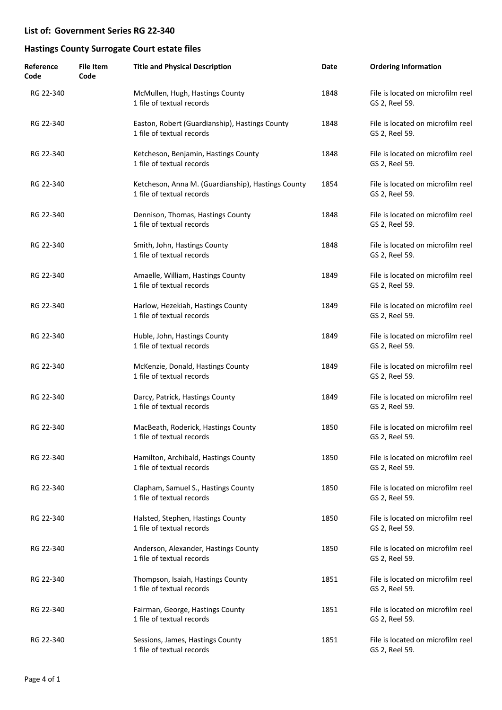| Reference<br>Code | <b>File Item</b><br>Code | <b>Title and Physical Description</b>                                           | Date | <b>Ordering Information</b>                         |
|-------------------|--------------------------|---------------------------------------------------------------------------------|------|-----------------------------------------------------|
| RG 22-340         |                          | McMullen, Hugh, Hastings County<br>1 file of textual records                    | 1848 | File is located on microfilm reel<br>GS 2, Reel 59. |
| RG 22-340         |                          | Easton, Robert (Guardianship), Hastings County<br>1 file of textual records     | 1848 | File is located on microfilm reel<br>GS 2, Reel 59. |
| RG 22-340         |                          | Ketcheson, Benjamin, Hastings County<br>1 file of textual records               | 1848 | File is located on microfilm reel<br>GS 2, Reel 59. |
| RG 22-340         |                          | Ketcheson, Anna M. (Guardianship), Hastings County<br>1 file of textual records | 1854 | File is located on microfilm reel<br>GS 2, Reel 59. |
| RG 22-340         |                          | Dennison, Thomas, Hastings County<br>1 file of textual records                  | 1848 | File is located on microfilm reel<br>GS 2, Reel 59. |
| RG 22-340         |                          | Smith, John, Hastings County<br>1 file of textual records                       | 1848 | File is located on microfilm reel<br>GS 2, Reel 59. |
| RG 22-340         |                          | Amaelle, William, Hastings County<br>1 file of textual records                  | 1849 | File is located on microfilm reel<br>GS 2, Reel 59. |
| RG 22-340         |                          | Harlow, Hezekiah, Hastings County<br>1 file of textual records                  | 1849 | File is located on microfilm reel<br>GS 2, Reel 59. |
| RG 22-340         |                          | Huble, John, Hastings County<br>1 file of textual records                       | 1849 | File is located on microfilm reel<br>GS 2, Reel 59. |
| RG 22-340         |                          | McKenzie, Donald, Hastings County<br>1 file of textual records                  | 1849 | File is located on microfilm reel<br>GS 2, Reel 59. |
| RG 22-340         |                          | Darcy, Patrick, Hastings County<br>1 file of textual records                    | 1849 | File is located on microfilm reel<br>GS 2, Reel 59. |
| RG 22-340         |                          | MacBeath, Roderick, Hastings County<br>1 file of textual records                | 1850 | File is located on microfilm reel<br>GS 2, Reel 59. |
| RG 22-340         |                          | Hamilton, Archibald, Hastings County<br>1 file of textual records               | 1850 | File is located on microfilm reel<br>GS 2, Reel 59. |
| RG 22-340         |                          | Clapham, Samuel S., Hastings County<br>1 file of textual records                | 1850 | File is located on microfilm reel<br>GS 2, Reel 59. |
| RG 22-340         |                          | Halsted, Stephen, Hastings County<br>1 file of textual records                  | 1850 | File is located on microfilm reel<br>GS 2, Reel 59. |
| RG 22-340         |                          | Anderson, Alexander, Hastings County<br>1 file of textual records               | 1850 | File is located on microfilm reel<br>GS 2, Reel 59. |
| RG 22-340         |                          | Thompson, Isaiah, Hastings County<br>1 file of textual records                  | 1851 | File is located on microfilm reel<br>GS 2, Reel 59. |
| RG 22-340         |                          | Fairman, George, Hastings County<br>1 file of textual records                   | 1851 | File is located on microfilm reel<br>GS 2, Reel 59. |
| RG 22-340         |                          | Sessions, James, Hastings County<br>1 file of textual records                   | 1851 | File is located on microfilm reel<br>GS 2, Reel 59. |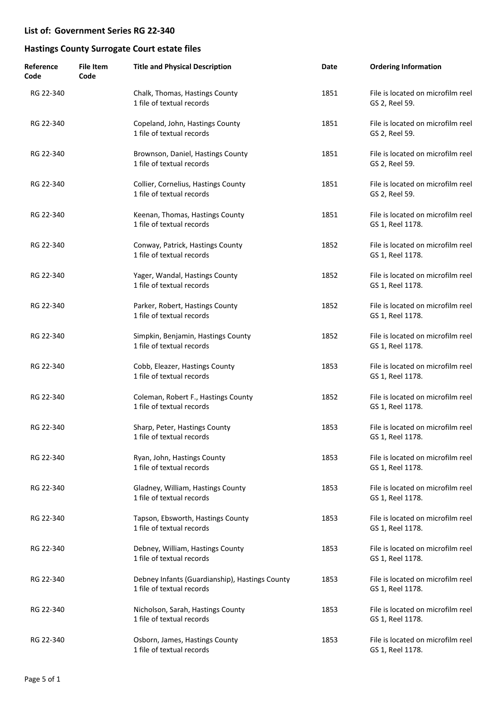| Reference<br>Code | <b>File Item</b><br>Code | <b>Title and Physical Description</b>                                       | Date | <b>Ordering Information</b>                           |
|-------------------|--------------------------|-----------------------------------------------------------------------------|------|-------------------------------------------------------|
| RG 22-340         |                          | Chalk, Thomas, Hastings County<br>1 file of textual records                 | 1851 | File is located on microfilm reel<br>GS 2, Reel 59.   |
| RG 22-340         |                          | Copeland, John, Hastings County<br>1 file of textual records                | 1851 | File is located on microfilm reel<br>GS 2, Reel 59.   |
| RG 22-340         |                          | Brownson, Daniel, Hastings County<br>1 file of textual records              | 1851 | File is located on microfilm reel<br>GS 2, Reel 59.   |
| RG 22-340         |                          | Collier, Cornelius, Hastings County<br>1 file of textual records            | 1851 | File is located on microfilm reel<br>GS 2, Reel 59.   |
| RG 22-340         |                          | Keenan, Thomas, Hastings County<br>1 file of textual records                | 1851 | File is located on microfilm reel<br>GS 1, Reel 1178. |
| RG 22-340         |                          | Conway, Patrick, Hastings County<br>1 file of textual records               | 1852 | File is located on microfilm reel<br>GS 1, Reel 1178. |
| RG 22-340         |                          | Yager, Wandal, Hastings County<br>1 file of textual records                 | 1852 | File is located on microfilm reel<br>GS 1, Reel 1178. |
| RG 22-340         |                          | Parker, Robert, Hastings County<br>1 file of textual records                | 1852 | File is located on microfilm reel<br>GS 1, Reel 1178. |
| RG 22-340         |                          | Simpkin, Benjamin, Hastings County<br>1 file of textual records             | 1852 | File is located on microfilm reel<br>GS 1, Reel 1178. |
| RG 22-340         |                          | Cobb, Eleazer, Hastings County<br>1 file of textual records                 | 1853 | File is located on microfilm reel<br>GS 1, Reel 1178. |
| RG 22-340         |                          | Coleman, Robert F., Hastings County<br>1 file of textual records            | 1852 | File is located on microfilm reel<br>GS 1, Reel 1178. |
| RG 22-340         |                          | Sharp, Peter, Hastings County<br>1 file of textual records                  | 1853 | File is located on microfilm reel<br>GS 1, Reel 1178. |
| RG 22-340         |                          | Ryan, John, Hastings County<br>1 file of textual records                    | 1853 | File is located on microfilm reel<br>GS 1, Reel 1178. |
| RG 22-340         |                          | Gladney, William, Hastings County<br>1 file of textual records              | 1853 | File is located on microfilm reel<br>GS 1, Reel 1178. |
| RG 22-340         |                          | Tapson, Ebsworth, Hastings County<br>1 file of textual records              | 1853 | File is located on microfilm reel<br>GS 1, Reel 1178. |
| RG 22-340         |                          | Debney, William, Hastings County<br>1 file of textual records               | 1853 | File is located on microfilm reel<br>GS 1, Reel 1178. |
| RG 22-340         |                          | Debney Infants (Guardianship), Hastings County<br>1 file of textual records | 1853 | File is located on microfilm reel<br>GS 1, Reel 1178. |
| RG 22-340         |                          | Nicholson, Sarah, Hastings County<br>1 file of textual records              | 1853 | File is located on microfilm reel<br>GS 1, Reel 1178. |
| RG 22-340         |                          | Osborn, James, Hastings County<br>1 file of textual records                 | 1853 | File is located on microfilm reel<br>GS 1, Reel 1178. |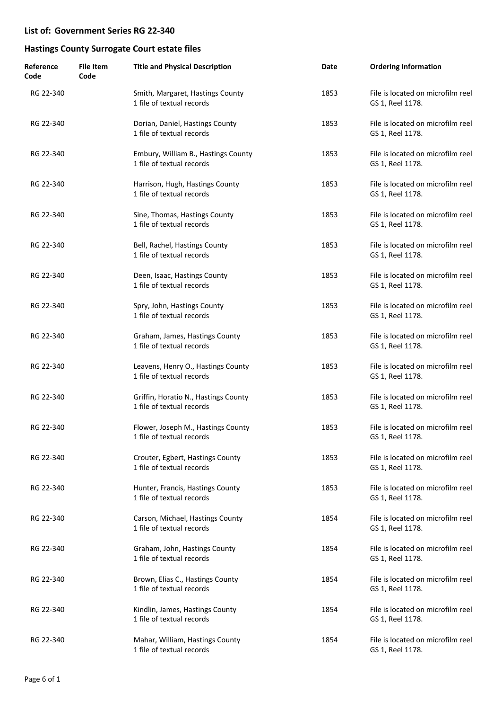| Reference<br>Code | <b>File Item</b><br>Code | <b>Title and Physical Description</b>                             | Date | <b>Ordering Information</b>                           |
|-------------------|--------------------------|-------------------------------------------------------------------|------|-------------------------------------------------------|
| RG 22-340         |                          | Smith, Margaret, Hastings County<br>1 file of textual records     | 1853 | File is located on microfilm reel<br>GS 1, Reel 1178. |
| RG 22-340         |                          | Dorian, Daniel, Hastings County<br>1 file of textual records      | 1853 | File is located on microfilm reel<br>GS 1, Reel 1178. |
| RG 22-340         |                          | Embury, William B., Hastings County<br>1 file of textual records  | 1853 | File is located on microfilm reel<br>GS 1, Reel 1178. |
| RG 22-340         |                          | Harrison, Hugh, Hastings County<br>1 file of textual records      | 1853 | File is located on microfilm reel<br>GS 1, Reel 1178. |
| RG 22-340         |                          | Sine, Thomas, Hastings County<br>1 file of textual records        | 1853 | File is located on microfilm reel<br>GS 1, Reel 1178. |
| RG 22-340         |                          | Bell, Rachel, Hastings County<br>1 file of textual records        | 1853 | File is located on microfilm reel<br>GS 1, Reel 1178. |
| RG 22-340         |                          | Deen, Isaac, Hastings County<br>1 file of textual records         | 1853 | File is located on microfilm reel<br>GS 1, Reel 1178. |
| RG 22-340         |                          | Spry, John, Hastings County<br>1 file of textual records          | 1853 | File is located on microfilm reel<br>GS 1, Reel 1178. |
| RG 22-340         |                          | Graham, James, Hastings County<br>1 file of textual records       | 1853 | File is located on microfilm reel<br>GS 1, Reel 1178. |
| RG 22-340         |                          | Leavens, Henry O., Hastings County<br>1 file of textual records   | 1853 | File is located on microfilm reel<br>GS 1, Reel 1178. |
| RG 22-340         |                          | Griffin, Horatio N., Hastings County<br>1 file of textual records | 1853 | File is located on microfilm reel<br>GS 1, Reel 1178. |
| RG 22-340         |                          | Flower, Joseph M., Hastings County<br>1 file of textual records   | 1853 | File is located on microfilm reel<br>GS 1, Reel 1178. |
| RG 22-340         |                          | Crouter, Egbert, Hastings County<br>1 file of textual records     | 1853 | File is located on microfilm reel<br>GS 1, Reel 1178. |
| RG 22-340         |                          | Hunter, Francis, Hastings County<br>1 file of textual records     | 1853 | File is located on microfilm reel<br>GS 1, Reel 1178. |
| RG 22-340         |                          | Carson, Michael, Hastings County<br>1 file of textual records     | 1854 | File is located on microfilm reel<br>GS 1, Reel 1178. |
| RG 22-340         |                          | Graham, John, Hastings County<br>1 file of textual records        | 1854 | File is located on microfilm reel<br>GS 1, Reel 1178. |
| RG 22-340         |                          | Brown, Elias C., Hastings County<br>1 file of textual records     | 1854 | File is located on microfilm reel<br>GS 1, Reel 1178. |
| RG 22-340         |                          | Kindlin, James, Hastings County<br>1 file of textual records      | 1854 | File is located on microfilm reel<br>GS 1, Reel 1178. |
| RG 22-340         |                          | Mahar, William, Hastings County<br>1 file of textual records      | 1854 | File is located on microfilm reel<br>GS 1, Reel 1178. |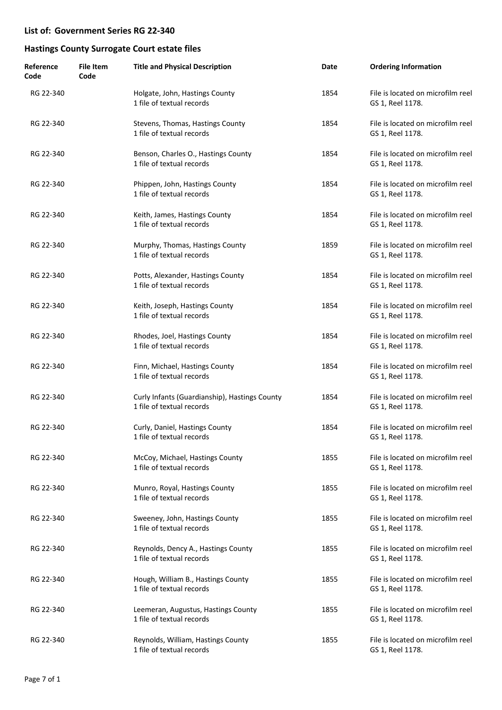| Reference<br>Code | <b>File Item</b><br>Code | <b>Title and Physical Description</b>                                      | Date | <b>Ordering Information</b>                           |
|-------------------|--------------------------|----------------------------------------------------------------------------|------|-------------------------------------------------------|
| RG 22-340         |                          | Holgate, John, Hastings County<br>1 file of textual records                | 1854 | File is located on microfilm reel<br>GS 1, Reel 1178. |
| RG 22-340         |                          | Stevens, Thomas, Hastings County<br>1 file of textual records              | 1854 | File is located on microfilm reel<br>GS 1, Reel 1178. |
| RG 22-340         |                          | Benson, Charles O., Hastings County<br>1 file of textual records           | 1854 | File is located on microfilm reel<br>GS 1, Reel 1178. |
| RG 22-340         |                          | Phippen, John, Hastings County<br>1 file of textual records                | 1854 | File is located on microfilm reel<br>GS 1, Reel 1178. |
| RG 22-340         |                          | Keith, James, Hastings County<br>1 file of textual records                 | 1854 | File is located on microfilm reel<br>GS 1, Reel 1178. |
| RG 22-340         |                          | Murphy, Thomas, Hastings County<br>1 file of textual records               | 1859 | File is located on microfilm reel<br>GS 1, Reel 1178. |
| RG 22-340         |                          | Potts, Alexander, Hastings County<br>1 file of textual records             | 1854 | File is located on microfilm reel<br>GS 1, Reel 1178. |
| RG 22-340         |                          | Keith, Joseph, Hastings County<br>1 file of textual records                | 1854 | File is located on microfilm reel<br>GS 1, Reel 1178. |
| RG 22-340         |                          | Rhodes, Joel, Hastings County<br>1 file of textual records                 | 1854 | File is located on microfilm reel<br>GS 1, Reel 1178. |
| RG 22-340         |                          | Finn, Michael, Hastings County<br>1 file of textual records                | 1854 | File is located on microfilm reel<br>GS 1, Reel 1178. |
| RG 22-340         |                          | Curly Infants (Guardianship), Hastings County<br>1 file of textual records | 1854 | File is located on microfilm reel<br>GS 1, Reel 1178. |
| RG 22-340         |                          | Curly, Daniel, Hastings County<br>1 file of textual records                | 1854 | File is located on microfilm reel<br>GS 1, Reel 1178. |
| RG 22-340         |                          | McCoy, Michael, Hastings County<br>1 file of textual records               | 1855 | File is located on microfilm reel<br>GS 1, Reel 1178. |
| RG 22-340         |                          | Munro, Royal, Hastings County<br>1 file of textual records                 | 1855 | File is located on microfilm reel<br>GS 1, Reel 1178. |
| RG 22-340         |                          | Sweeney, John, Hastings County<br>1 file of textual records                | 1855 | File is located on microfilm reel<br>GS 1, Reel 1178. |
| RG 22-340         |                          | Reynolds, Dency A., Hastings County<br>1 file of textual records           | 1855 | File is located on microfilm reel<br>GS 1, Reel 1178. |
| RG 22-340         |                          | Hough, William B., Hastings County<br>1 file of textual records            | 1855 | File is located on microfilm reel<br>GS 1, Reel 1178. |
| RG 22-340         |                          | Leemeran, Augustus, Hastings County<br>1 file of textual records           | 1855 | File is located on microfilm reel<br>GS 1, Reel 1178. |
| RG 22-340         |                          | Reynolds, William, Hastings County<br>1 file of textual records            | 1855 | File is located on microfilm reel<br>GS 1, Reel 1178. |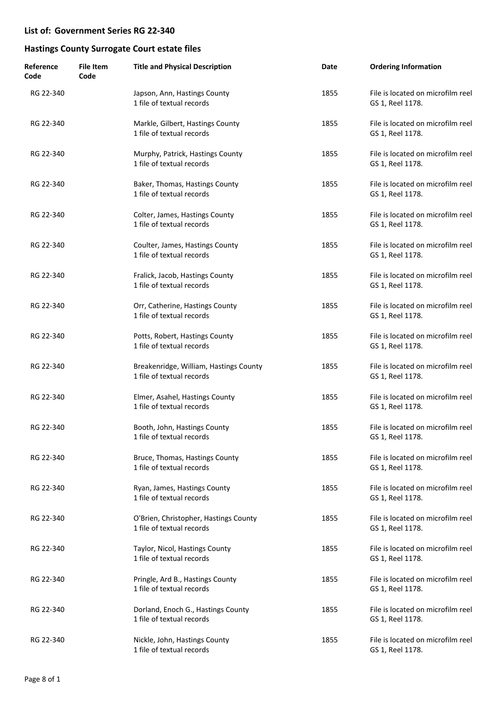| Reference<br>Code | <b>File Item</b><br>Code | <b>Title and Physical Description</b>                               | Date | <b>Ordering Information</b>                           |
|-------------------|--------------------------|---------------------------------------------------------------------|------|-------------------------------------------------------|
| RG 22-340         |                          | Japson, Ann, Hastings County<br>1 file of textual records           | 1855 | File is located on microfilm reel<br>GS 1, Reel 1178. |
| RG 22-340         |                          | Markle, Gilbert, Hastings County<br>1 file of textual records       | 1855 | File is located on microfilm reel<br>GS 1, Reel 1178. |
| RG 22-340         |                          | Murphy, Patrick, Hastings County<br>1 file of textual records       | 1855 | File is located on microfilm reel<br>GS 1, Reel 1178. |
| RG 22-340         |                          | Baker, Thomas, Hastings County<br>1 file of textual records         | 1855 | File is located on microfilm reel<br>GS 1, Reel 1178. |
| RG 22-340         |                          | Colter, James, Hastings County<br>1 file of textual records         | 1855 | File is located on microfilm reel<br>GS 1, Reel 1178. |
| RG 22-340         |                          | Coulter, James, Hastings County<br>1 file of textual records        | 1855 | File is located on microfilm reel<br>GS 1, Reel 1178. |
| RG 22-340         |                          | Fralick, Jacob, Hastings County<br>1 file of textual records        | 1855 | File is located on microfilm reel<br>GS 1, Reel 1178. |
| RG 22-340         |                          | Orr, Catherine, Hastings County<br>1 file of textual records        | 1855 | File is located on microfilm reel<br>GS 1, Reel 1178. |
| RG 22-340         |                          | Potts, Robert, Hastings County<br>1 file of textual records         | 1855 | File is located on microfilm reel<br>GS 1, Reel 1178. |
| RG 22-340         |                          | Breakenridge, William, Hastings County<br>1 file of textual records | 1855 | File is located on microfilm reel<br>GS 1, Reel 1178. |
| RG 22-340         |                          | Elmer, Asahel, Hastings County<br>1 file of textual records         | 1855 | File is located on microfilm reel<br>GS 1, Reel 1178. |
| RG 22-340         |                          | Booth, John, Hastings County<br>1 file of textual records           | 1855 | File is located on microfilm reel<br>GS 1, Reel 1178. |
| RG 22-340         |                          | Bruce, Thomas, Hastings County<br>1 file of textual records         | 1855 | File is located on microfilm reel<br>GS 1, Reel 1178. |
| RG 22-340         |                          | Ryan, James, Hastings County<br>1 file of textual records           | 1855 | File is located on microfilm reel<br>GS 1, Reel 1178. |
| RG 22-340         |                          | O'Brien, Christopher, Hastings County<br>1 file of textual records  | 1855 | File is located on microfilm reel<br>GS 1, Reel 1178. |
| RG 22-340         |                          | Taylor, Nicol, Hastings County<br>1 file of textual records         | 1855 | File is located on microfilm reel<br>GS 1, Reel 1178. |
| RG 22-340         |                          | Pringle, Ard B., Hastings County<br>1 file of textual records       | 1855 | File is located on microfilm reel<br>GS 1, Reel 1178. |
| RG 22-340         |                          | Dorland, Enoch G., Hastings County<br>1 file of textual records     | 1855 | File is located on microfilm reel<br>GS 1, Reel 1178. |
| RG 22-340         |                          | Nickle, John, Hastings County<br>1 file of textual records          | 1855 | File is located on microfilm reel<br>GS 1, Reel 1178. |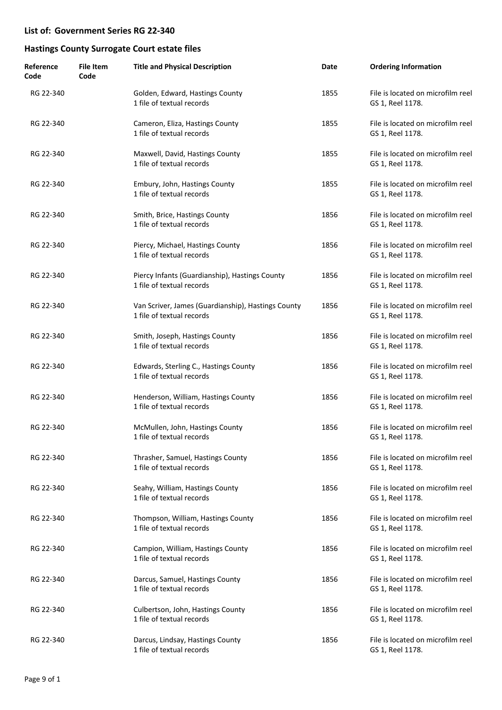| Reference<br>Code | <b>File Item</b><br>Code | <b>Title and Physical Description</b>                                           | Date | <b>Ordering Information</b>                           |
|-------------------|--------------------------|---------------------------------------------------------------------------------|------|-------------------------------------------------------|
| RG 22-340         |                          | Golden, Edward, Hastings County<br>1 file of textual records                    | 1855 | File is located on microfilm reel<br>GS 1, Reel 1178. |
| RG 22-340         |                          | Cameron, Eliza, Hastings County<br>1 file of textual records                    | 1855 | File is located on microfilm reel<br>GS 1, Reel 1178. |
| RG 22-340         |                          | Maxwell, David, Hastings County<br>1 file of textual records                    | 1855 | File is located on microfilm reel<br>GS 1, Reel 1178. |
| RG 22-340         |                          | Embury, John, Hastings County<br>1 file of textual records                      | 1855 | File is located on microfilm reel<br>GS 1, Reel 1178. |
| RG 22-340         |                          | Smith, Brice, Hastings County<br>1 file of textual records                      | 1856 | File is located on microfilm reel<br>GS 1, Reel 1178. |
| RG 22-340         |                          | Piercy, Michael, Hastings County<br>1 file of textual records                   | 1856 | File is located on microfilm reel<br>GS 1, Reel 1178. |
| RG 22-340         |                          | Piercy Infants (Guardianship), Hastings County<br>1 file of textual records     | 1856 | File is located on microfilm reel<br>GS 1, Reel 1178. |
| RG 22-340         |                          | Van Scriver, James (Guardianship), Hastings County<br>1 file of textual records | 1856 | File is located on microfilm reel<br>GS 1, Reel 1178. |
| RG 22-340         |                          | Smith, Joseph, Hastings County<br>1 file of textual records                     | 1856 | File is located on microfilm reel<br>GS 1, Reel 1178. |
| RG 22-340         |                          | Edwards, Sterling C., Hastings County<br>1 file of textual records              | 1856 | File is located on microfilm reel<br>GS 1, Reel 1178. |
| RG 22-340         |                          | Henderson, William, Hastings County<br>1 file of textual records                | 1856 | File is located on microfilm reel<br>GS 1, Reel 1178. |
| RG 22-340         |                          | McMullen, John, Hastings County<br>1 file of textual records                    | 1856 | File is located on microfilm reel<br>GS 1, Reel 1178. |
| RG 22-340         |                          | Thrasher, Samuel, Hastings County<br>1 file of textual records                  | 1856 | File is located on microfilm reel<br>GS 1, Reel 1178. |
| RG 22-340         |                          | Seahy, William, Hastings County<br>1 file of textual records                    | 1856 | File is located on microfilm reel<br>GS 1, Reel 1178. |
| RG 22-340         |                          | Thompson, William, Hastings County<br>1 file of textual records                 | 1856 | File is located on microfilm reel<br>GS 1, Reel 1178. |
| RG 22-340         |                          | Campion, William, Hastings County<br>1 file of textual records                  | 1856 | File is located on microfilm reel<br>GS 1, Reel 1178. |
| RG 22-340         |                          | Darcus, Samuel, Hastings County<br>1 file of textual records                    | 1856 | File is located on microfilm reel<br>GS 1, Reel 1178. |
| RG 22-340         |                          | Culbertson, John, Hastings County<br>1 file of textual records                  | 1856 | File is located on microfilm reel<br>GS 1, Reel 1178. |
| RG 22-340         |                          | Darcus, Lindsay, Hastings County<br>1 file of textual records                   | 1856 | File is located on microfilm reel<br>GS 1, Reel 1178. |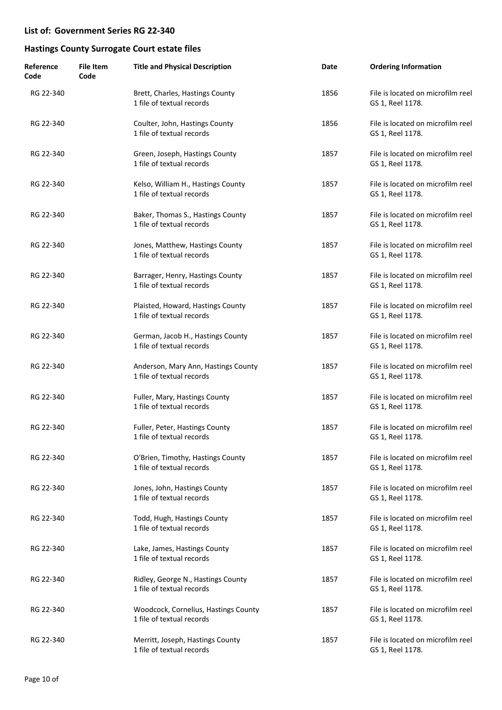| Reference<br>Code | <b>File Item</b><br>Code | <b>Title and Physical Description</b>                             | Date | <b>Ordering Information</b>                           |
|-------------------|--------------------------|-------------------------------------------------------------------|------|-------------------------------------------------------|
| RG 22-340         |                          | Brett, Charles, Hastings County<br>1 file of textual records      | 1856 | File is located on microfilm reel<br>GS 1, Reel 1178. |
| RG 22-340         |                          | Coulter, John, Hastings County<br>1 file of textual records       | 1856 | File is located on microfilm reel<br>GS 1, Reel 1178. |
| RG 22-340         |                          | Green, Joseph, Hastings County<br>1 file of textual records       | 1857 | File is located on microfilm reel<br>GS 1, Reel 1178. |
| RG 22-340         |                          | Kelso, William H., Hastings County<br>1 file of textual records   | 1857 | File is located on microfilm reel<br>GS 1, Reel 1178. |
| RG 22-340         |                          | Baker, Thomas S., Hastings County<br>1 file of textual records    | 1857 | File is located on microfilm reel<br>GS 1, Reel 1178. |
| RG 22-340         |                          | Jones, Matthew, Hastings County<br>1 file of textual records      | 1857 | File is located on microfilm reel<br>GS 1, Reel 1178. |
| RG 22-340         |                          | Barrager, Henry, Hastings County<br>1 file of textual records     | 1857 | File is located on microfilm reel<br>GS 1, Reel 1178. |
| RG 22-340         |                          | Plaisted, Howard, Hastings County<br>1 file of textual records    | 1857 | File is located on microfilm reel<br>GS 1, Reel 1178. |
| RG 22-340         |                          | German, Jacob H., Hastings County<br>1 file of textual records    | 1857 | File is located on microfilm reel<br>GS 1, Reel 1178. |
| RG 22-340         |                          | Anderson, Mary Ann, Hastings County<br>1 file of textual records  | 1857 | File is located on microfilm reel<br>GS 1, Reel 1178. |
| RG 22-340         |                          | Fuller, Mary, Hastings County<br>1 file of textual records        | 1857 | File is located on microfilm reel<br>GS 1, Reel 1178. |
| RG 22-340         |                          | Fuller, Peter, Hastings County<br>1 file of textual records       | 1857 | File is located on microfilm reel<br>GS 1, Reel 1178. |
| RG 22-340         |                          | O'Brien, Timothy, Hastings County<br>1 file of textual records    | 1857 | File is located on microfilm reel<br>GS 1, Reel 1178. |
| RG 22-340         |                          | Jones, John, Hastings County<br>1 file of textual records         | 1857 | File is located on microfilm reel<br>GS 1, Reel 1178. |
| RG 22-340         |                          | Todd, Hugh, Hastings County<br>1 file of textual records          | 1857 | File is located on microfilm reel<br>GS 1, Reel 1178. |
| RG 22-340         |                          | Lake, James, Hastings County<br>1 file of textual records         | 1857 | File is located on microfilm reel<br>GS 1, Reel 1178. |
| RG 22-340         |                          | Ridley, George N., Hastings County<br>1 file of textual records   | 1857 | File is located on microfilm reel<br>GS 1, Reel 1178. |
| RG 22-340         |                          | Woodcock, Cornelius, Hastings County<br>1 file of textual records | 1857 | File is located on microfilm reel<br>GS 1, Reel 1178. |
| RG 22-340         |                          | Merritt, Joseph, Hastings County<br>1 file of textual records     | 1857 | File is located on microfilm reel<br>GS 1, Reel 1178. |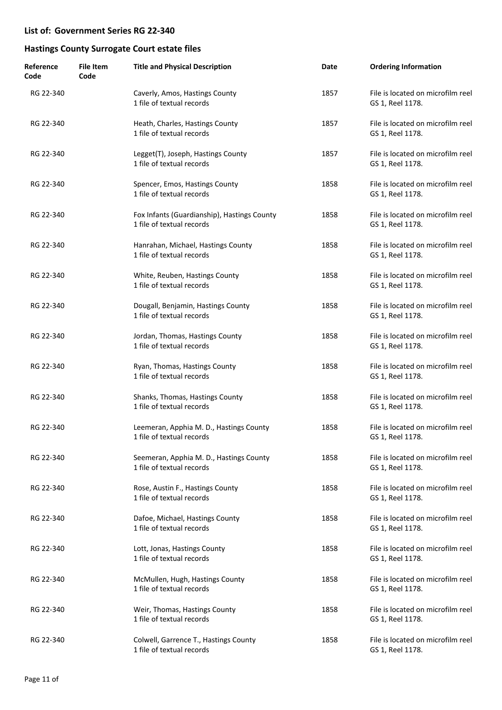| Reference<br>Code | <b>File Item</b><br>Code | <b>Title and Physical Description</b>                                    | Date | <b>Ordering Information</b>                           |
|-------------------|--------------------------|--------------------------------------------------------------------------|------|-------------------------------------------------------|
| RG 22-340         |                          | Caverly, Amos, Hastings County<br>1 file of textual records              | 1857 | File is located on microfilm reel<br>GS 1, Reel 1178. |
| RG 22-340         |                          | Heath, Charles, Hastings County<br>1 file of textual records             | 1857 | File is located on microfilm reel<br>GS 1, Reel 1178. |
| RG 22-340         |                          | Legget(T), Joseph, Hastings County<br>1 file of textual records          | 1857 | File is located on microfilm reel<br>GS 1, Reel 1178. |
| RG 22-340         |                          | Spencer, Emos, Hastings County<br>1 file of textual records              | 1858 | File is located on microfilm reel<br>GS 1, Reel 1178. |
| RG 22-340         |                          | Fox Infants (Guardianship), Hastings County<br>1 file of textual records | 1858 | File is located on microfilm reel<br>GS 1, Reel 1178. |
| RG 22-340         |                          | Hanrahan, Michael, Hastings County<br>1 file of textual records          | 1858 | File is located on microfilm reel<br>GS 1, Reel 1178. |
| RG 22-340         |                          | White, Reuben, Hastings County<br>1 file of textual records              | 1858 | File is located on microfilm reel<br>GS 1, Reel 1178. |
| RG 22-340         |                          | Dougall, Benjamin, Hastings County<br>1 file of textual records          | 1858 | File is located on microfilm reel<br>GS 1, Reel 1178. |
| RG 22-340         |                          | Jordan, Thomas, Hastings County<br>1 file of textual records             | 1858 | File is located on microfilm reel<br>GS 1, Reel 1178. |
| RG 22-340         |                          | Ryan, Thomas, Hastings County<br>1 file of textual records               | 1858 | File is located on microfilm reel<br>GS 1, Reel 1178. |
| RG 22-340         |                          | Shanks, Thomas, Hastings County<br>1 file of textual records             | 1858 | File is located on microfilm reel<br>GS 1, Reel 1178. |
| RG 22-340         |                          | Leemeran, Apphia M. D., Hastings County<br>1 file of textual records     | 1858 | File is located on microfilm reel<br>GS 1, Reel 1178. |
| RG 22-340         |                          | Seemeran, Apphia M. D., Hastings County<br>1 file of textual records     | 1858 | File is located on microfilm reel<br>GS 1, Reel 1178. |
| RG 22-340         |                          | Rose, Austin F., Hastings County<br>1 file of textual records            | 1858 | File is located on microfilm reel<br>GS 1, Reel 1178. |
| RG 22-340         |                          | Dafoe, Michael, Hastings County<br>1 file of textual records             | 1858 | File is located on microfilm reel<br>GS 1, Reel 1178. |
| RG 22-340         |                          | Lott, Jonas, Hastings County<br>1 file of textual records                | 1858 | File is located on microfilm reel<br>GS 1, Reel 1178. |
| RG 22-340         |                          | McMullen, Hugh, Hastings County<br>1 file of textual records             | 1858 | File is located on microfilm reel<br>GS 1, Reel 1178. |
| RG 22-340         |                          | Weir, Thomas, Hastings County<br>1 file of textual records               | 1858 | File is located on microfilm reel<br>GS 1, Reel 1178. |
| RG 22-340         |                          | Colwell, Garrence T., Hastings County<br>1 file of textual records       | 1858 | File is located on microfilm reel<br>GS 1, Reel 1178. |